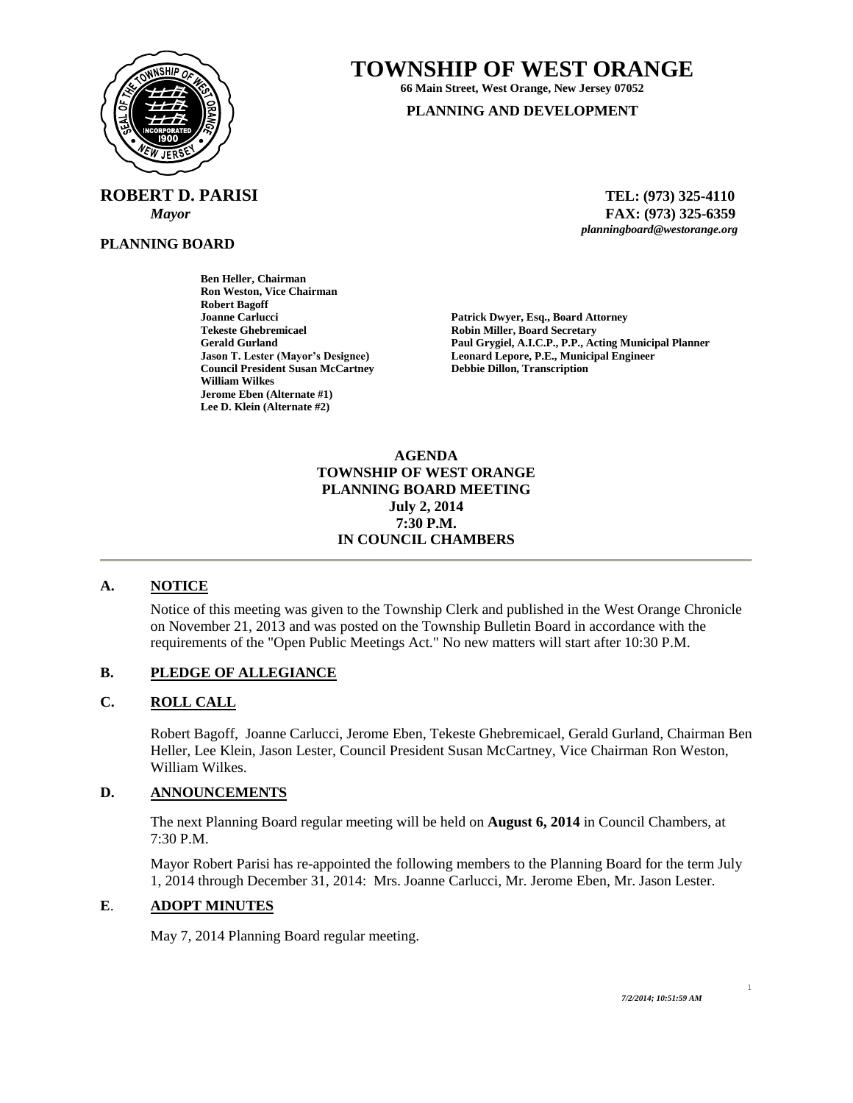

 **ROBERT D. PARISI TEL: (973) 325-4110**

**PLANNING BOARD**

**TOWNSHIP OF WEST ORANGE**

**66 Main Street, West Orange, New Jersey 07052**

### **PLANNING AND DEVELOPMENT**

 *Mayor* **FAX: (973) 325-6359** *planningboard@westorange.org*

**Ben Heller, Chairman Ron Weston, Vice Chairman Robert Bagoff Tekeste Ghebremicael Robin Miller, Board Secretary Council President Susan McCartney William Wilkes Jerome Eben (Alternate #1) Lee D. Klein (Alternate #2)**

Patrick Dwyer, Esq., Board Attorney **Gerald Gurland Paul Grygiel, A.I.C.P., P.P., Acting Municipal Planner** Leonard Lepore, P.E., Municipal Engineer<br>Debbie Dillon, Transcription

> **AGENDA TOWNSHIP OF WEST ORANGE PLANNING BOARD MEETING July 2, 2014 7:30 P.M. IN COUNCIL CHAMBERS**

### **A. NOTICE**

Notice of this meeting was given to the Township Clerk and published in the West Orange Chronicle on November 21, 2013 and was posted on the Township Bulletin Board in accordance with the requirements of the "Open Public Meetings Act." No new matters will start after 10:30 P.M.

### **B. PLEDGE OF ALLEGIANCE**

### **C. ROLL CALL**

Robert Bagoff, Joanne Carlucci, Jerome Eben, Tekeste Ghebremicael, Gerald Gurland, Chairman Ben Heller, Lee Klein, Jason Lester, Council President Susan McCartney, Vice Chairman Ron Weston, William Wilkes.

### **D. ANNOUNCEMENTS**

The next Planning Board regular meeting will be held on **August 6, 2014** in Council Chambers, at 7:30 P.M.

Mayor Robert Parisi has re-appointed the following members to the Planning Board for the term July 1, 2014 through December 31, 2014: Mrs. Joanne Carlucci, Mr. Jerome Eben, Mr. Jason Lester.

#### **E**. **ADOPT MINUTES**

May 7, 2014 Planning Board regular meeting.